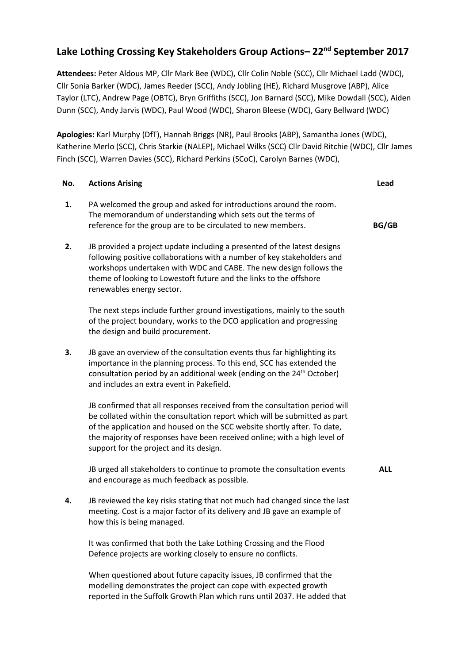## **Lake Lothing Crossing Key Stakeholders Group Actions– 22nd September 2017**

**Attendees:** Peter Aldous MP, Cllr Mark Bee (WDC), Cllr Colin Noble (SCC), Cllr Michael Ladd (WDC), Cllr Sonia Barker (WDC), James Reeder (SCC), Andy Jobling (HE), Richard Musgrove (ABP), Alice Taylor (LTC), Andrew Page (OBTC), Bryn Griffiths (SCC), Jon Barnard (SCC), Mike Dowdall (SCC), Aiden Dunn (SCC), Andy Jarvis (WDC), Paul Wood (WDC), Sharon Bleese (WDC), Gary Bellward (WDC)

**Apologies:** Karl Murphy (DfT), Hannah Briggs (NR), Paul Brooks (ABP), Samantha Jones (WDC), Katherine Merlo (SCC), Chris Starkie (NALEP), Michael Wilks (SCC) Cllr David Ritchie (WDC), Cllr James Finch (SCC), Warren Davies (SCC), Richard Perkins (SCoC), Carolyn Barnes (WDC),

| No. | <b>Actions Arising</b>                                                                                                                                                                                                                                                                                                                                       | Lead         |
|-----|--------------------------------------------------------------------------------------------------------------------------------------------------------------------------------------------------------------------------------------------------------------------------------------------------------------------------------------------------------------|--------------|
| 1.  | PA welcomed the group and asked for introductions around the room.<br>The memorandum of understanding which sets out the terms of<br>reference for the group are to be circulated to new members.                                                                                                                                                            | <b>BG/GB</b> |
| 2.  | JB provided a project update including a presented of the latest designs<br>following positive collaborations with a number of key stakeholders and<br>workshops undertaken with WDC and CABE. The new design follows the<br>theme of looking to Lowestoft future and the links to the offshore<br>renewables energy sector.                                 |              |
|     | The next steps include further ground investigations, mainly to the south<br>of the project boundary, works to the DCO application and progressing<br>the design and build procurement.                                                                                                                                                                      |              |
| 3.  | JB gave an overview of the consultation events thus far highlighting its<br>importance in the planning process. To this end, SCC has extended the<br>consultation period by an additional week (ending on the 24 <sup>th</sup> October)<br>and includes an extra event in Pakefield.                                                                         |              |
|     | JB confirmed that all responses received from the consultation period will<br>be collated within the consultation report which will be submitted as part<br>of the application and housed on the SCC website shortly after. To date,<br>the majority of responses have been received online; with a high level of<br>support for the project and its design. |              |
|     | JB urged all stakeholders to continue to promote the consultation events<br>and encourage as much feedback as possible.                                                                                                                                                                                                                                      | <b>ALL</b>   |
| 4.  | JB reviewed the key risks stating that not much had changed since the last<br>meeting. Cost is a major factor of its delivery and JB gave an example of<br>how this is being managed.                                                                                                                                                                        |              |
|     | It was confirmed that both the Lake Lothing Crossing and the Flood<br>Defence projects are working closely to ensure no conflicts.                                                                                                                                                                                                                           |              |
|     | When questioned about future capacity issues, JB confirmed that the<br>modelling demonstrates the project can cope with expected growth<br>reported in the Suffolk Growth Plan which runs until 2037. He added that                                                                                                                                          |              |